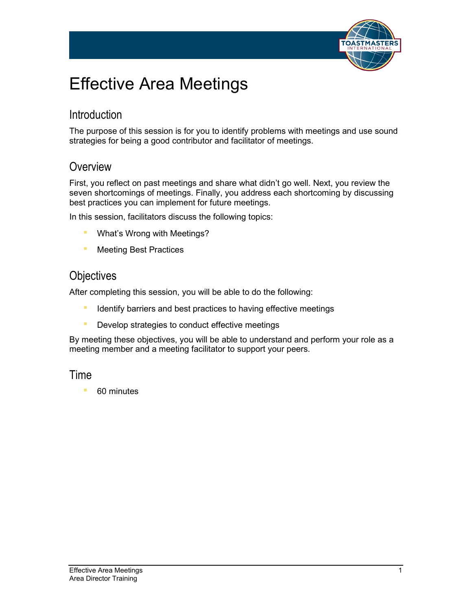

# Effective Area Meetings

## **Introduction**

The purpose of this session is for you to identify problems with meetings and use sound strategies for being a good contributor and facilitator of meetings.

### **Overview**

First, you reflect on past meetings and share what didn't go well. Next, you review the seven shortcomings of meetings. Finally, you address each shortcoming by discussing best practices you can implement for future meetings.

In this session, facilitators discuss the following topics:

- **■** What's Wrong with Meetings?
- **E** Meeting Best Practices

### **Objectives**

After completing this session, you will be able to do the following:

- **EXPLORED IDENT IS IDENT IS A THE INCORDER** Identify barriers and best practices to having effective meetings
- **Develop strategies to conduct effective meetings**

By meeting these objectives, you will be able to understand and perform your role as a meeting member and a meeting facilitator to support your peers.

### Time

■ 60 minutes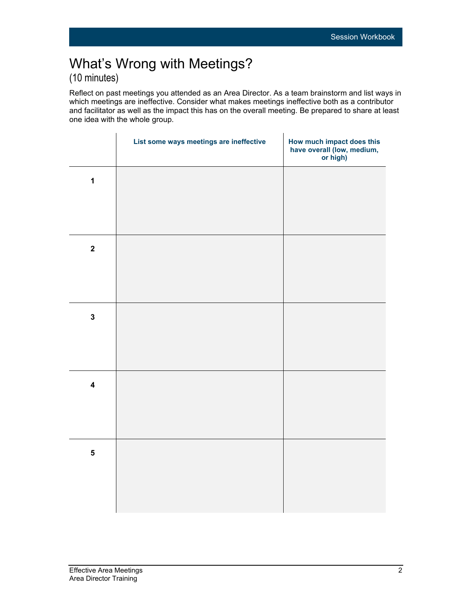# What's Wrong with Meetings? (10 minutes)

Reflect on past meetings you attended as an Area Director. As a team brainstorm and list ways in which meetings are ineffective. Consider what makes meetings ineffective both as a contributor and facilitator as well as the impact this has on the overall meeting. Be prepared to share at least one idea with the whole group.

|                         | List some ways meetings are ineffective | How much impact does this<br>have overall (low, medium,<br>or high) |
|-------------------------|-----------------------------------------|---------------------------------------------------------------------|
| $\mathbf 1$             |                                         |                                                                     |
|                         |                                         |                                                                     |
| $\mathbf{2}$            |                                         |                                                                     |
|                         |                                         |                                                                     |
| $\mathbf 3$             |                                         |                                                                     |
|                         |                                         |                                                                     |
| $\overline{\mathbf{4}}$ |                                         |                                                                     |
|                         |                                         |                                                                     |
| $\overline{\mathbf{5}}$ |                                         |                                                                     |
|                         |                                         |                                                                     |
|                         |                                         |                                                                     |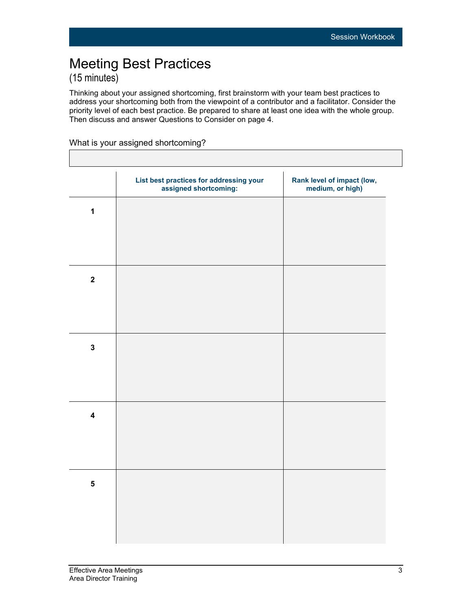# Meeting Best Practices (15 minutes)

Thinking about your assigned shortcoming, first brainstorm with your team best practices to address your shortcoming both from the viewpoint of a contributor and a facilitator. Consider the priority level of each best practice. Be prepared to share at least one idea with the whole group. Then discuss and answer Questions to Consider on page 4.

#### What is your assigned shortcoming?

|                         | List best practices for addressing your<br>assigned shortcoming: | Rank level of impact (low,<br>medium, or high) |
|-------------------------|------------------------------------------------------------------|------------------------------------------------|
| $\mathbf{1}$            |                                                                  |                                                |
|                         |                                                                  |                                                |
| $\mathbf{2}$            |                                                                  |                                                |
|                         |                                                                  |                                                |
|                         |                                                                  |                                                |
| $\mathbf 3$             |                                                                  |                                                |
|                         |                                                                  |                                                |
| $\overline{\mathbf{4}}$ |                                                                  |                                                |
|                         |                                                                  |                                                |
| ${\bf 5}$               |                                                                  |                                                |
|                         |                                                                  |                                                |
|                         |                                                                  |                                                |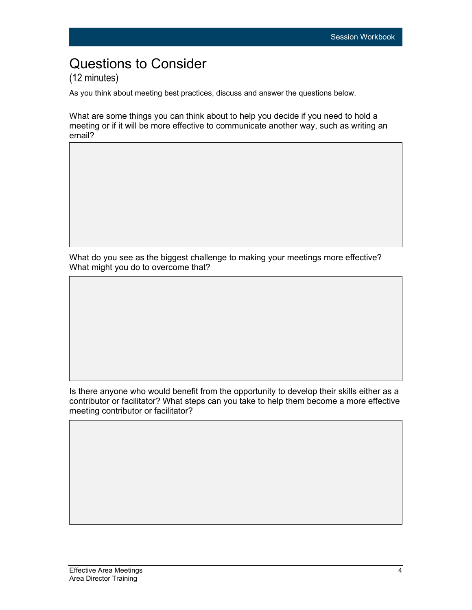## Questions to Consider (12 minutes)

As you think about meeting best practices, discuss and answer the questions below.

What are some things you can think about to help you decide if you need to hold a meeting or if it will be more effective to communicate another way, such as writing an email?

What do you see as the biggest challenge to making your meetings more effective? What might you do to overcome that?

Is there anyone who would benefit from the opportunity to develop their skills either as a contributor or facilitator? What steps can you take to help them become a more effective meeting contributor or facilitator?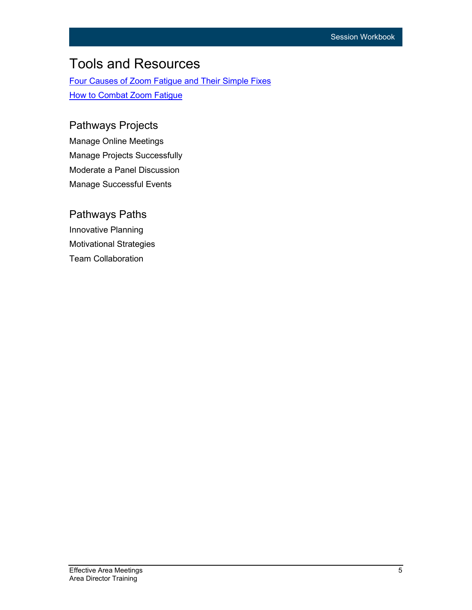# Tools and Resources

[Four Causes of Zoom Fatigue and Their Simple Fixes](https://news.stanford.edu/2021/02/23/four-causes-zoom-fatigue-solutions/) **[How to Combat Zoom Fatigue](https://hbr.org/2020/04/how-to-combat-zoom-fatigue)** 

### Pathways Projects

Manage Online Meetings Manage Projects Successfully Moderate a Panel Discussion Manage Successful Events

### Pathways Paths Innovative Planning Motivational Strategies Team Collaboration